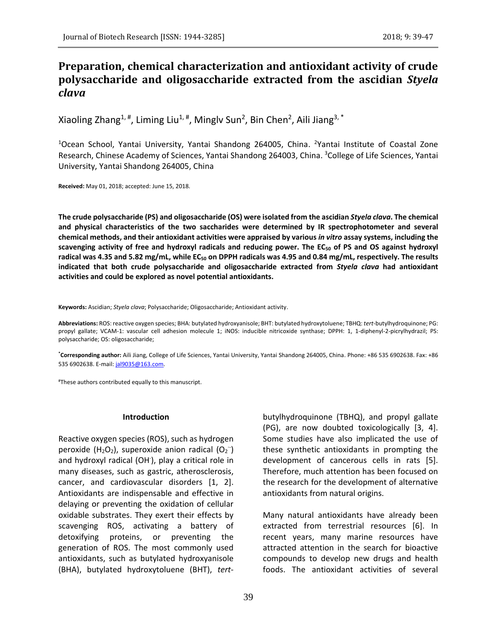# **Preparation, chemical characterization and antioxidant activity of crude polysaccharide and oligosaccharide extracted from the ascidian** *Styela clava*

Xiaoling Zhang $^{1, \, \sharp}$ , Liming Liu $^{1, \, \sharp}$ , Minglv Sun $^2$ , Bin Chen $^2$ , Aili Jiang $^{3, \, \sharp}$ 

<sup>1</sup>Ocean School, Yantai University, Yantai Shandong 264005, China. <sup>2</sup>Yantai Institute of Coastal Zone Research, Chinese Academy of Sciences, Yantai Shandong 264003, China. <sup>3</sup>College of Life Sciences, Yantai University, Yantai Shandong 264005, China

**Received:** May 01, 2018; accepted: June 15, 2018.

**The crude polysaccharide (PS) and oligosaccharide (OS) were isolated from the ascidian** *Styela clava***. The chemical and physical characteristics of the two saccharides were determined by IR spectrophotometer and several chemical methods, and their antioxidant activities were appraised by various** *in vitro* **assay systems, including the scavenging activity of free and hydroxyl radicals and reducing power. The EC<sup>50</sup> of PS and OS against hydroxyl radical was 4.35 and 5.82 mg/mL, while EC<sup>50</sup> on DPPH radicals was 4.95 and 0.84 mg/mL, respectively. The results indicated that both crude polysaccharide and oligosaccharide extracted from** *Styela clava* **had antioxidant activities and could be explored as novel potential antioxidants.**

**Keywords:** Ascidian; *Styela clava*; Polysaccharide; Oligosaccharide; Antioxidant activity.

**Abbreviations:** ROS: reactive oxygen species; BHA: butylated hydroxyanisole; BHT: butylated hydroxytoluene; TBHQ: *tert*-butylhydroquinone; PG: propyl gallate; VCAM-1: vascular cell adhesion molecule 1; iNOS: inducible nitricoxide synthase; DPPH: 1, 1-diphenyl-2-picrylhydrazil; PS: polysaccharide; OS: oligosaccharide;

**\*Corresponding author:** Aili Jiang, College of Life Sciences, Yantai University, Yantai Shandong 264005, China. Phone: +86 535 6902638. Fax: +86 535 6902638. E-mail[: jal9035@163.com.](mailto:jal9035@163.com) 

# These authors contributed equally to this manuscript.

#### **Introduction**

Reactive oxygen species (ROS), such as hydrogen peroxide (H<sub>2</sub>O<sub>2</sub>), superoxide anion radical (O<sub>2</sub><sup>--</sup>) and hydroxyl radical (OH· ), play a critical role in many diseases, such as gastric, atherosclerosis, cancer, and cardiovascular disorders [1, 2]. Antioxidants are indispensable and effective in delaying or preventing the oxidation of cellular oxidable substrates. They exert their effects by scavenging ROS, activating a battery of detoxifying proteins, or preventing the generation of ROS. The most commonly used antioxidants, such as butylated hydroxyanisole (BHA), butylated hydroxytoluene (BHT), *tert*- butylhydroquinone (TBHQ), and propyl gallate (PG), are now doubted toxicologically [3, 4]. Some studies have also implicated the use of these synthetic antioxidants in prompting the development of cancerous cells in rats [5]. Therefore, much attention has been focused on the research for the development of alternative antioxidants from natural origins.

Many natural antioxidants have already been extracted from terrestrial resources [6]. In recent years, many marine resources have attracted attention in the search for bioactive compounds to develop new drugs and health foods. The antioxidant activities of several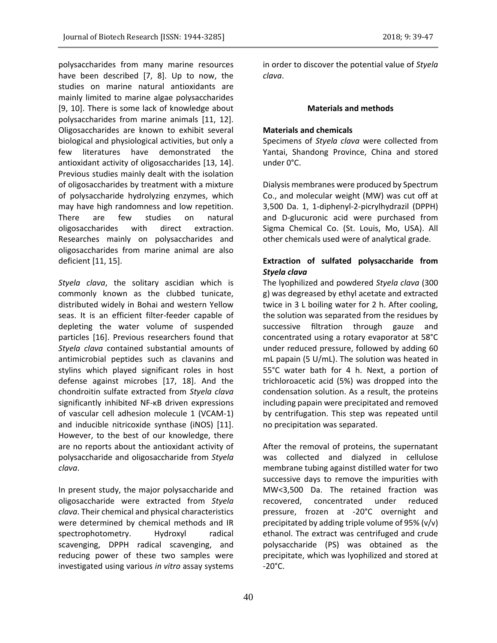polysaccharides from many marine resources have been described [7, 8]. Up to now, the studies on marine natural antioxidants are mainly limited to marine algae polysaccharides [9, 10]. There is some lack of knowledge about polysaccharides from marine animals [11, 12]. Oligosaccharides are known to exhibit several biological and physiological activities, but only a few literatures have demonstrated the antioxidant activity of oligosaccharides [13, 14]. Previous studies mainly dealt with the isolation of oligosaccharides by treatment with a mixture of polysaccharide hydrolyzing enzymes, which may have high randomness and low repetition. There are few studies on natural oligosaccharides with direct extraction. Researches mainly on polysaccharides and oligosaccharides from marine animal are also deficient [11, 15].

*Styela clava*, the solitary ascidian which is commonly known as the clubbed tunicate, distributed widely in Bohai and western Yellow seas. It is an efficient filter-feeder capable of depleting the water volume of suspended particles [16]. Previous researchers found that *Styela clava* contained substantial amounts of antimicrobial peptides such as clavanins and stylins which played significant roles in host defense against microbes [17, 18]. And the chondroitin sulfate extracted from *Styela clava* significantly inhibited NF-κB driven expressions of vascular cell adhesion molecule 1 (VCAM-1) and inducible nitricoxide synthase (iNOS) [11]. However, to the best of our knowledge, there are no reports about the antioxidant activity of polysaccharide and oligosaccharide from *Styela clava*.

In present study, the major polysaccharide and oligosaccharide were extracted from *Styela clava*. Their chemical and physical characteristics were determined by chemical methods and IR spectrophotometry. Hydroxyl radical scavenging, DPPH radical scavenging, and reducing power of these two samples were investigated using various *in vitro* assay systems

in order to discover the potential value of *Styela clava*.

# **Materials and methods**

# **Materials and chemicals**

Specimens of *Styela clava* were collected from Yantai, Shandong Province, China and stored under 0°C.

Dialysis membranes were produced by Spectrum Co., and molecular weight (MW) was cut off at 3,500 Da. 1, 1-diphenyl-2-picrylhydrazil (DPPH) and D-glucuronic acid were purchased from Sigma Chemical Co. (St. Louis, Mo, USA). All other chemicals used were of analytical grade.

# **Extraction of sulfated polysaccharide from**  *Styela clava*

The lyophilized and powdered *Styela clava* (300 g) was degreased by ethyl acetate and extracted twice in 3 L boiling water for 2 h. After cooling, the solution was separated from the residues by successive filtration through gauze and concentrated using a rotary evaporator at 58°C under reduced pressure, followed by adding 60 mL papain (5 U/mL). The solution was heated in 55°C water bath for 4 h. Next, a portion of trichloroacetic acid (5%) was dropped into the condensation solution. As a result, the proteins including papain were precipitated and removed by centrifugation. This step was repeated until no precipitation was separated.

After the removal of proteins, the supernatant was collected and dialyzed in cellulose membrane tubing against distilled water for two successive days to remove the impurities with MW<3,500 Da. The retained fraction was recovered, concentrated under reduced pressure, frozen at -20°C overnight and precipitated by adding triple volume of 95% (v/v) ethanol. The extract was centrifuged and crude polysaccharide (PS) was obtained as the precipitate, which was lyophilized and stored at  $-20^{\circ}$ C.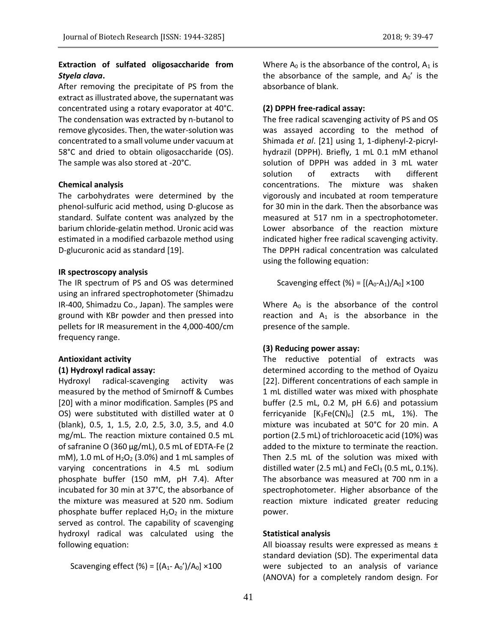# **Extraction of sulfated oligosaccharide from**  *Styela clava***.**

After removing the precipitate of PS from the extract as illustrated above, the supernatant was concentrated using a rotary evaporator at 40°C. The condensation was extracted by n-butanol to remove glycosides. Then, the water-solution was concentrated to a small volume under vacuum at 58°C and dried to obtain oligosaccharide (OS). The sample was also stored at -20°C.

### **Chemical analysis**

The carbohydrates were determined by the phenol-sulfuric acid method, using D-glucose as standard. Sulfate content was analyzed by the barium chloride-gelatin method. Uronic acid was estimated in a modified carbazole method using D-glucuronic acid as standard [19].

### **IR spectroscopy analysis**

The IR spectrum of PS and OS was determined using an infrared spectrophotometer (Shimadzu IR-400, Shimadzu Co., Japan). The samples were ground with KBr powder and then pressed into pellets for IR measurement in the 4,000-400/cm frequency range.

#### **Antioxidant activity**

# **(1) Hydroxyl radical assay:**

Hydroxyl radical-scavenging activity was measured by the method of Smirnoff & Cumbes [20] with a minor modification. Samples (PS and OS) were substituted with distilled water at 0 (blank), 0.5, 1, 1.5, 2.0, 2.5, 3.0, 3.5, and 4.0 mg/mL. The reaction mixture contained 0.5 mL of safranine O (360 μg/mL), 0.5 mL of EDTA-Fe (2 mM), 1.0 mL of  $H<sub>2</sub>O<sub>2</sub>$  (3.0%) and 1 mL samples of varying concentrations in 4.5 mL sodium phosphate buffer (150 mM, pH 7.4). After incubated for 30 min at 37°C, the absorbance of the mixture was measured at 520 nm. Sodium phosphate buffer replaced  $H_2O_2$  in the mixture served as control. The capability of scavenging hydroxyl radical was calculated using the following equation:

Scavenging effect (%) =  $[(A_1 - A_0')/A_0] \times 100$ 

Where  $A_0$  is the absorbance of the control,  $A_1$  is the absorbance of the sample, and  $A_0'$  is the absorbance of blank.

### **(2) DPPH free-radical assay:**

The free radical scavenging activity of PS and OS was assayed according to the method of Shimada *et al*. [21] using 1, 1-diphenyl-2-picrylhydrazil (DPPH). Briefly, 1 mL 0.1 mM ethanol solution of DPPH was added in 3 mL water solution of extracts with different concentrations. The mixture was shaken vigorously and incubated at room temperature for 30 min in the dark. Then the absorbance was measured at 517 nm in a spectrophotometer. Lower absorbance of the reaction mixture indicated higher free radical scavenging activity. The DPPH radical concentration was calculated using the following equation:

Scavenging effect  $(\% ) = [(A_0-A_1)/A_0] \times 100$ 

Where  $A_0$  is the absorbance of the control reaction and  $A_1$  is the absorbance in the presence of the sample.

#### **(3) Reducing power assay:**

The reductive potential of extracts was determined according to the method of Oyaizu [22]. Different concentrations of each sample in 1 mL distilled water was mixed with phosphate buffer (2.5 mL, 0.2 M, pH 6.6) and potassium ferricyanide  $[K_3Fe(CN)_6]$  (2.5 mL, 1%). The mixture was incubated at 50°C for 20 min. A portion (2.5 mL) of trichloroacetic acid (10%) was added to the mixture to terminate the reaction. Then 2.5 mL of the solution was mixed with distilled water (2.5 mL) and FeC $l_3$  (0.5 mL, 0.1%). The absorbance was measured at 700 nm in a spectrophotometer. Higher absorbance of the reaction mixture indicated greater reducing power.

#### **Statistical analysis**

All bioassay results were expressed as means ± standard deviation (SD). The experimental data were subjected to an analysis of variance (ANOVA) for a completely random design. For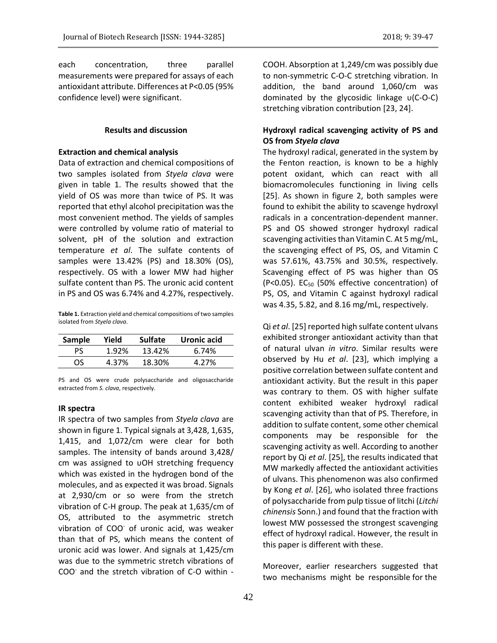each concentration, three parallel measurements were prepared for assays of each antioxidant attribute. Differences at P<0.05 (95% confidence level) were significant.

#### **Results and discussion**

#### **Extraction and chemical analysis**

Data of extraction and chemical compositions of two samples isolated from *Styela clava* were given in table 1. The results showed that the yield of OS was more than twice of PS. It was reported that ethyl alcohol precipitation was the most convenient method. The yields of samples were controlled by volume ratio of material to solvent, pH of the solution and extraction temperature *et al*. The sulfate contents of samples were 13.42% (PS) and 18.30% (OS), respectively. OS with a lower MW had higher sulfate content than PS. The uronic acid content in PS and OS was 6.74% and 4.27%, respectively.

**Table 1.** Extraction yield and chemical compositions of two samples isolated from *Styela clava*.

| Sample | Yield | <b>Sulfate</b> | Uronic acid |
|--------|-------|----------------|-------------|
| рς     | 1.92% | 13.42%         | 6.74%       |
| OS     | 4.37% | 18.30%         | 4.27%       |

PS and OS were crude polysaccharide and oligosaccharide extracted from *S. clava*, respectively.

#### **IR spectra**

IR spectra of two samples from *Styela clava* are shown in figure 1. Typical signals at 3,428, 1,635, 1,415, and 1,072/cm were clear for both samples. The intensity of bands around 3,428/ cm was assigned to υOH stretching frequency which was existed in the hydrogen bond of the molecules, and as expected it was broad. Signals at 2,930/cm or so were from the stretch vibration of C-H group. The peak at 1,635/cm of OS, attributed to the asymmetric stretch vibration of COO of uronic acid, was weaker than that of PS, which means the content of uronic acid was lower. And signals at 1,425/cm was due to the symmetric stretch vibrations of COO<sup>-</sup> and the stretch vibration of C-O within -

COOH. Absorption at 1,249/cm was possibly due to non-symmetric C-O-C stretching vibration. In addition, the band around 1,060/cm was dominated by the glycosidic linkage υ(C-O-C) stretching vibration contribution [23, 24].

# **Hydroxyl radical scavenging activity of PS and OS from** *Styela clava*

The hydroxyl radical, generated in the system by the Fenton reaction, is known to be a highly potent oxidant, which can react with all biomacromolecules functioning in living cells [25]. As shown in figure 2, both samples were found to exhibit the ability to scavenge hydroxyl radicals in a concentration-dependent manner. PS and OS showed stronger hydroxyl radical scavenging activities than Vitamin C. At 5 mg/mL, the scavenging effect of PS, OS, and Vitamin C was 57.61%, 43.75% and 30.5%, respectively. Scavenging effect of PS was higher than OS (P<0.05). EC<sub>50</sub> (50% effective concentration) of PS, OS, and Vitamin C against hydroxyl radical was 4.35, 5.82, and 8.16 mg/mL, respectively.

Qi *et al*. [25] reported high sulfate content ulvans exhibited stronger antioxidant activity than that of natural ulvan *in vitro*. Similar results were observed by Hu *et al*. [23], which implying a positive correlation between sulfate content and antioxidant activity. But the result in this paper was contrary to them. OS with higher sulfate content exhibited weaker hydroxyl radical scavenging activity than that of PS. Therefore, in addition to sulfate content, some other chemical components may be responsible for the scavenging activity as well. According to another report by Qi *et al*. [25], the results indicated that MW markedly affected the antioxidant activities of ulvans. This phenomenon was also confirmed by Kong *et al*. [26], who isolated three fractions of polysaccharide from pulp tissue of litchi (*Litchi chinensis* Sonn.) and found that the fraction with lowest MW possessed the strongest scavenging effect of hydroxyl radical. However, the result in this paper is different with these.

Moreover, earlier researchers suggested that two mechanisms might be responsible for the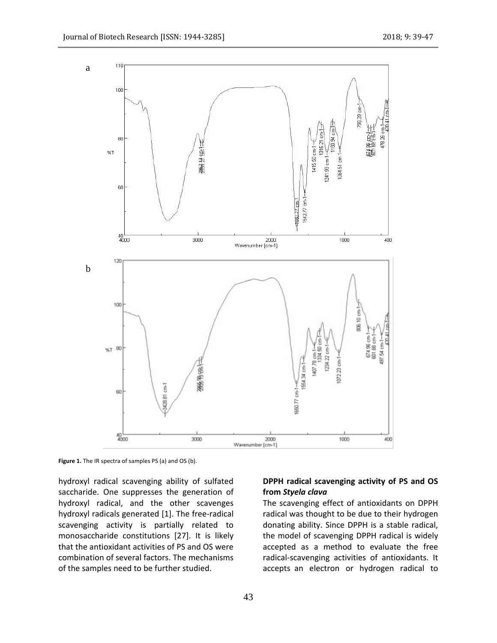

**Figure 1.** The IR spectra of samples PS (a) and OS (b).

hydroxyl radical scavenging ability of sulfated saccharide. One suppresses the generation of hydroxyl radical, and the other scavenges hydroxyl radicals generated [1]. The free-radical scavenging activity is partially related to monosaccharide constitutions [27]. It is likely that the antioxidant activities of PS and OS were combination of several factors. The mechanisms of the samples need to be further studied.

# **DPPH radical scavenging activity of PS and OS from** *Styela clava*

The scavenging effect of antioxidants on DPPH radical was thought to be due to their hydrogen donating ability. Since DPPH is a stable radical, the model of scavenging DPPH radical is widely accepted as a method to evaluate the free radical-scavenging activities of antioxidants. It accepts an electron or hydrogen radical to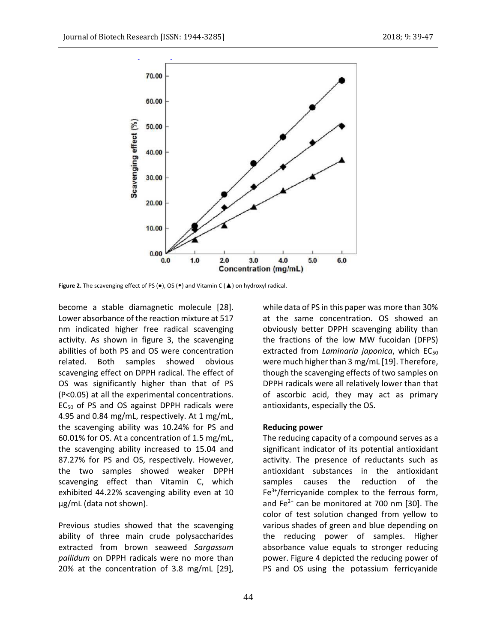

**Figure 2.** The scavenging effect of PS (●), OS (◆) and Vitamin C (▲) on hydroxyl radical.

become a stable diamagnetic molecule [28]. Lower absorbance of the reaction mixture at 517 nm indicated higher free radical scavenging activity. As shown in figure 3, the scavenging abilities of both PS and OS were concentration related. Both samples showed obvious scavenging effect on DPPH radical. The effect of OS was significantly higher than that of PS (P<0.05) at all the experimental concentrations. EC<sup>50</sup> of PS and OS against DPPH radicals were 4.95 and 0.84 mg/mL, respectively. At 1 mg/mL, the scavenging ability was 10.24% for PS and 60.01% for OS. At a concentration of 1.5 mg/mL, the scavenging ability increased to 15.04 and 87.27% for PS and OS, respectively. However, the two samples showed weaker DPPH scavenging effect than Vitamin C, which exhibited 44.22% scavenging ability even at 10 μg/mL (data not shown).

Previous studies showed that the scavenging ability of three main crude polysaccharides extracted from brown seaweed *Sargassum pallidum* on DPPH radicals were no more than 20% at the concentration of 3.8 mg/mL [29], while data of PS in this paper was more than 30% at the same concentration. OS showed an obviously better DPPH scavenging ability than the fractions of the low MW fucoidan (DFPS) extracted from *Laminaria japonica*, which EC<sub>50</sub> were much higher than 3 mg/mL [19]. Therefore, though the scavenging effects of two samples on DPPH radicals were all relatively lower than that of ascorbic acid, they may act as primary antioxidants, especially the OS.

#### **Reducing power**

The reducing capacity of a compound serves as a significant indicator of its potential antioxidant activity. The presence of reductants such as antioxidant substances in the antioxidant samples causes the reduction of the  $Fe<sup>3+</sup>/ferricvanide$  complex to the ferrous form, and Fe $2+$  can be monitored at 700 nm [30]. The color of test solution changed from yellow to various shades of green and blue depending on the reducing power of samples. Higher absorbance value equals to stronger reducing power. Figure 4 depicted the reducing power of PS and OS using the potassium ferricyanide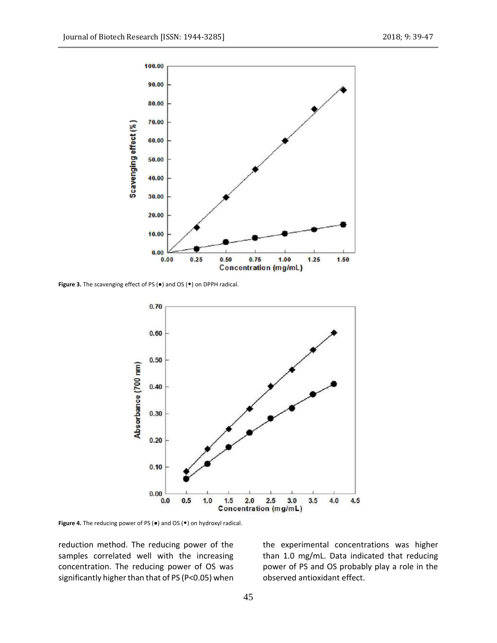

**Figure 3.** The scavenging effect of PS (●) and OS (◆) on DPPH radical.



**Figure 4.** The reducing power of PS (●) and OS (◆) on hydroxyl radical.

reduction method. The reducing power of the samples correlated well with the increasing concentration. The reducing power of OS was significantly higher than that of PS (P<0.05) when the experimental concentrations was higher than 1.0 mg/mL. Data indicated that reducing power of PS and OS probably play a role in the observed antioxidant effect.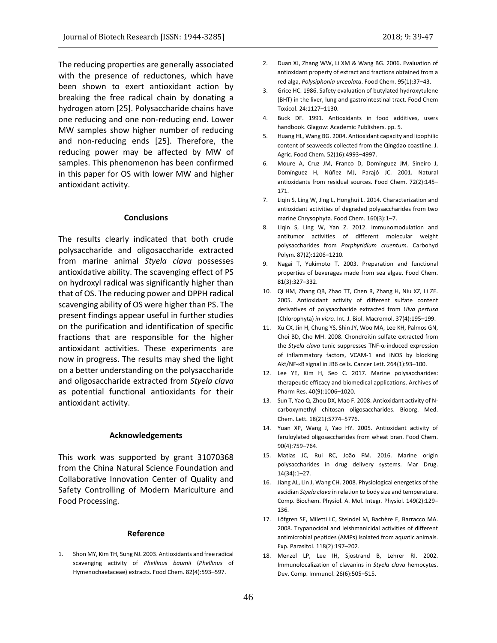The reducing properties are generally associated with the presence of reductones, which have been shown to exert antioxidant action by breaking the free radical chain by donating a hydrogen atom [25]. Polysaccharide chains have one reducing and one non-reducing end. Lower MW samples show higher number of reducing and non-reducing ends [25]. Therefore, the reducing power may be affected by MW of samples. This phenomenon has been confirmed in this paper for OS with lower MW and higher antioxidant activity.

#### **Conclusions**

The results clearly indicated that both crude polysaccharide and oligosaccharide extracted from marine animal *Styela clava* possesses antioxidative ability. The scavenging effect of PS on hydroxyl radical was significantly higher than that of OS. The reducing power and DPPH radical scavenging ability of OS were higher than PS. The present findings appear useful in further studies on the purification and identification of specific fractions that are responsible for the higher antioxidant activities. These experiments are now in progress. The results may shed the light on a better understanding on the polysaccharide and oligosaccharide extracted from *Styela clava* as potential functional antioxidants for their antioxidant activity.

#### **Acknowledgements**

This work was supported by grant 31070368 from the China Natural Science Foundation and Collaborative Innovation Center of Quality and Safety Controlling of Modern Mariculture and Food Processing.

#### **Reference**

1. Shon MY, Kim TH, Sung NJ. 2003. Antioxidants and free radical scavenging activity of *Phellinus baumii* (*Phellinus* of Hymenochaetaceae) extracts. Food Chem. 82(4):593–597.

- 2. Duan XJ, Zhang WW, Li XM & Wang BG. 2006. Evaluation of antioxidant property of extract and fractions obtained from a red alga, *Polysiphonia urceolata*. Food Chem. 95(1):37–43.
- 3. Grice HC. 1986. Safety evaluation of butylated hydroxytulene (BHT) in the liver, lung and gastrointestinal tract. Food Chem Toxicol. 24:1127–1130.
- 4. Buck DF. 1991. Antioxidants in food additives, users handbook. Glagow: Academic Publishers. pp. 5.
- 5. Huang HL, Wang BG. 2004. Antioxidant capacity and lipophilic content of seaweeds collected from the Qingdao coastline. J. Agric. Food Chem. 52(16):4993–4997.
- 6. Moure A, Cruz JM, Franco D, Domínguez JM, Sineiro J, Domínguez H, Núñez MJ, Parajó JC. 2001. Natural antioxidants from residual sources. Food Chem. 72(2):145– 171.
- 7. Liqin S, Ling W, Jing L, Honghui L. 2014. Characterization and antioxidant activities of degraded polysaccharides from two marine Chrysophyta. Food Chem. 160(3):1–7.
- 8. Liqin S, Ling W, Yan Z. 2012. Immunomodulation and antitumor activities of different molecular weight polysaccharides from *Porphyridium cruentum*. Carbohyd Polym. 87(2):1206–1210.
- 9. Nagai T, Yukimoto T. 2003. Preparation and functional properties of beverages made from sea algae. Food Chem. 81(3):327–332.
- 10. Qi HM, Zhang QB, Zhao TT, Chen R, Zhang H, Niu XZ, Li ZE. 2005. Antioxidant activity of different sulfate content derivatives of polysaccharide extracted from *Ulva pertusa* (Chlorophyta) *in vitro*. Int. J. Biol. Macromol. 37(4):195–199.
- 11. Xu CX, Jin H, Chung YS, Shin JY, Woo MA, Lee KH, Palmos GN, Choi BD, Cho MH. 2008. Chondroitin sulfate extracted from the *Styela clava* tunic suppresses TNF-α-induced expression of inflammatory factors, VCAM-1 and iNOS by blocking Akt/NF-κB signal in JB6 cells. Cancer Lett. 264(1):93–100.
- 12. Lee YE, Kim H, Seo C. 2017. Marine polysaccharides: therapeutic efficacy and biomedical applications. Archives of Pharm Res. 40(9):1006–1020.
- 13. Sun T, Yao Q, Zhou DX, Mao F. 2008. Antioxidant activity of Ncarboxymethyl chitosan oligosaccharides. Bioorg. Med. Chem. Lett. 18(21):5774–5776.
- 14. Yuan XP, Wang J, Yao HY. 2005. Antioxidant activity of feruloylated oligosaccharides from wheat bran. Food Chem. 90(4):759–764.
- 15. Matias JC, Rui RC, João FM. 2016. Marine origin polysaccharides in drug delivery systems. Mar Drug. 14(34):1–27.
- 16. Jiang AL, Lin J, Wang CH. 2008. Physiological energetics of the ascidian *Styela clava* in relation to body size and temperature. Comp. Biochem. Physiol. A. Mol. Integr. Physiol. 149(2):129– 136.
- 17. Löfgren SE, Miletti LC, Steindel M, Bachère E, Barracco MA. 2008. Trypanocidal and leishmanicidal activities of different antimicrobial peptides (AMPs) isolated from aquatic animals. Exp. Parasitol. 118(2):197–202.
- 18. Menzel LP, Lee IH, Sjostrand B, Lehrer RI. 2002. Immunolocalization of clavanins in *Styela clava* hemocytes. Dev. Comp. Immunol. 26(6):505–515.